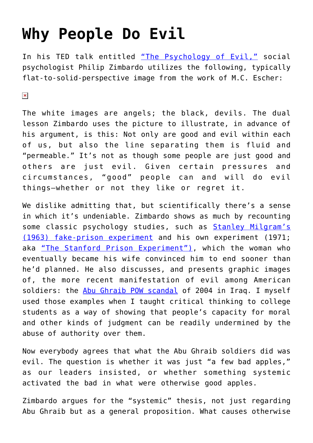## **[Why People Do Evil](https://intellectualtakeout.org/2016/02/why-people-do-evil/)**

In his TED talk entitled ["The Psychology of Evil,"](https://www.youtube.com/watch?v=OsFEV35tWsg) social psychologist Philip Zimbardo utilizes the following, typically flat-to-solid-perspective image from the work of M.C. Escher:

 $\pmb{\times}$ 

The white images are angels; the black, devils. The dual lesson Zimbardo uses the picture to illustrate, in advance of his argument, is this: Not only are good and evil within each of us, but also the line separating them is fluid and "permeable." It's not as though some people are just good and others are just evil. Given certain pressures and circumstances, "good" people can and will do evil things—whether or not they like or regret it.

We dislike admitting that, but scientifically there's a sense in which it's undeniable. Zimbardo shows as much by recounting some classic psychology studies, such as [Stanley Milgram's](https://en.wikipedia.org/wiki/Milgram_experiment) [\(1963\) fake-prison experiment](https://en.wikipedia.org/wiki/Milgram_experiment) and his own experiment (1971; aka ["The Stanford Prison Experiment"\),](http://www.prisonexp.org/) which the woman who eventually became his wife convinced him to end sooner than he'd planned. He also discusses, and presents graphic images of, the more recent manifestation of evil among American soldiers: the [Abu Ghraib POW scandal](https://en.wikipedia.org/wiki/Abu_Ghraib_torture_and_prisoner_abuse) of 2004 in Iraq. I myself used those examples when I taught critical thinking to college students as a way of showing that people's capacity for moral and other kinds of judgment can be readily undermined by the abuse of authority over them.

Now everybody agrees that what the Abu Ghraib soldiers did was evil. The question is whether it was just "a few bad apples," as our leaders insisted, or whether something systemic activated the bad in what were otherwise good apples.

Zimbardo argues for the "systemic" thesis, not just regarding Abu Ghraib but as a general proposition. What causes otherwise